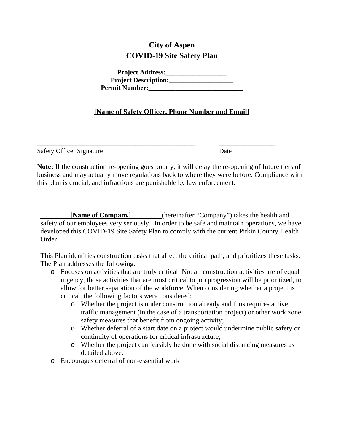# **City of Aspen COVID-19 Site Safety Plan**

| <b>Project Address:</b>     |  |
|-----------------------------|--|
| <b>Project Description:</b> |  |
| <b>Permit Number:</b>       |  |

### **[Name of Safety Officer, Phone Number and Email]**

Safety Officer Signature Date

**Note:** If the construction re-opening goes poorly, it will delay the re-opening of future tiers of business and may actually move regulations back to where they were before. Compliance with this plan is crucial, and infractions are punishable by law enforcement.

 $\overline{\phantom{a}}$  , and the contract of the contract of the contract of the contract of the contract of the contract of the contract of the contract of the contract of the contract of the contract of the contract of the contrac

**[Name of Company]** (hereinafter "Company") takes the health and safety of our employees very seriously. In order to be safe and maintain operations, we have developed this COVID-19 Site Safety Plan to comply with the current Pitkin County Health Order.

This Plan identifies construction tasks that affect the critical path, and prioritizes these tasks. The Plan addresses the following:

- o Focuses on activities that are truly critical: Not all construction activities are of equal urgency, those activities that are most critical to job progression will be prioritized, to allow for better separation of the workforce. When considering whether a project is critical, the following factors were considered:
	- o Whether the project is under construction already and thus requires active traffic management (in the case of a transportation project) or other work zone safety measures that benefit from ongoing activity;
	- o Whether deferral of a start date on a project would undermine public safety or continuity of operations for critical infrastructure;
	- o Whether the project can feasibly be done with social distancing measures as detailed above.
- o Encourages deferral of non-essential work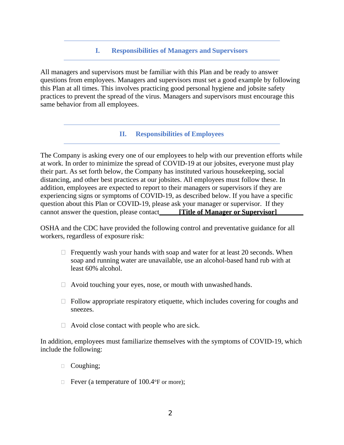#### **I. Responsibilities of Managers and Supervisors**

All managers and supervisors must be familiar with this Plan and be ready to answer questions from employees. Managers and supervisors must set a good example by following this Plan at all times. This involves practicing good personal hygiene and jobsite safety practices to prevent the spread of the virus. Managers and supervisors must encourage this same behavior from all employees.

#### **II. Responsibilities of Employees**

The Company is asking every one of our employees to help with our prevention efforts while at work. In order to minimize the spread of COVID-19 at our jobsites, everyone must play their part. As set forth below, the Company has instituted various housekeeping, social distancing, and other best practices at our jobsites. All employees must follow these. In addition, employees are expected to report to their managers or supervisors if they are experiencing signs or symptoms of COVID-19, as described below. If you have a specific question about this Plan or COVID-19, please ask your manager or supervisor. If they cannot answer the question, please contact\_\_\_\_\_**[Title of Manager or Supervisor**]

OSHA and the CDC have provided the following control and preventative guidance for all workers, regardless of exposure risk:

- $\Box$  Frequently wash your hands with soap and water for at least 20 seconds. When soap and running water are unavailable, use an alcohol-based hand rub with at least 60% alcohol.
- $\Box$  Avoid touching your eyes, nose, or mouth with unwashed hands.
- $\Box$  Follow appropriate respiratory etiquette, which includes covering for coughs and sneezes.
- $\Box$  Avoid close contact with people who are sick.

In addition, employees must familiarize themselves with the symptoms of COVID-19, which include the following:

- □ Coughing;
- Fever (a temperature of  $100.4\textdegree F$  or more);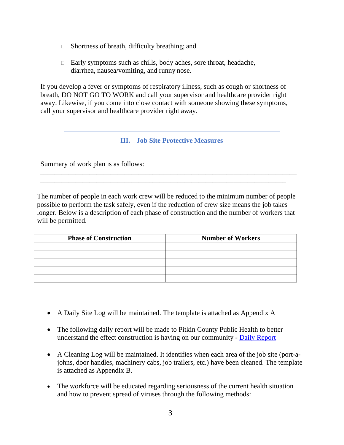- $\Box$  Shortness of breath, difficulty breathing; and
- □ Early symptoms such as chills, body aches, sore throat, headache, diarrhea, nausea/vomiting, and runny nose.

If you develop a fever or symptoms of respiratory illness, such as cough or shortness of breath, DO NOT GO TO WORK and call your supervisor and healthcare provider right away. Likewise, if you come into close contact with someone showing these symptoms, call your supervisor and healthcare provider right away.

#### **III. Job Site Protective Measures**

Summary of work plan is as follows:

The number of people in each work crew will be reduced to the minimum number of people possible to perform the task safely, even if the reduction of crew size means the job takes longer. Below is a description of each phase of construction and the number of workers that will be permitted.

\_\_\_\_\_\_\_\_\_\_\_\_\_\_\_\_\_\_\_\_\_\_\_\_\_\_\_\_\_\_\_\_\_\_\_\_\_\_\_\_\_\_\_\_\_\_\_\_\_\_\_\_\_\_\_\_\_\_\_\_\_\_\_\_\_\_\_\_\_\_\_\_\_ \_\_\_\_\_\_\_\_\_\_\_\_\_\_\_\_\_\_\_\_\_\_\_\_\_\_\_\_\_\_\_\_\_\_\_\_\_\_\_\_\_\_\_\_\_\_\_\_\_\_\_\_\_\_\_\_\_\_\_\_\_\_\_\_\_\_\_\_\_\_

| <b>Phase of Construction</b> | <b>Number of Workers</b> |  |  |
|------------------------------|--------------------------|--|--|
|                              |                          |  |  |
|                              |                          |  |  |
|                              |                          |  |  |
|                              |                          |  |  |
|                              |                          |  |  |

- A Daily Site Log will be maintained. The template is attached as Appendix A
- The following daily report will be made to Pitkin County Public Health to better understand the effect construction is having on our community - [Daily Report](https://forms.gle/WPmVS8aCNAvP1aGc6)
- A Cleaning Log will be maintained. It identifies when each area of the job site (port-ajohns, door handles, machinery cabs, job trailers, etc.) have been cleaned. The template is attached as Appendix B.
- The workforce will be educated regarding seriousness of the current health situation and how to prevent spread of viruses through the following methods: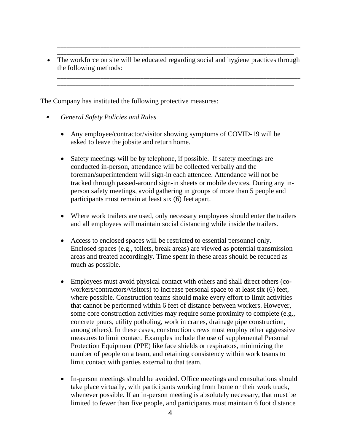\_\_\_\_\_\_\_\_\_\_\_\_\_\_\_\_\_\_\_\_\_\_\_\_\_\_\_\_\_\_\_\_\_\_\_\_\_\_\_\_\_\_\_\_\_\_\_\_\_\_\_\_\_\_\_\_\_\_\_\_\_\_\_\_\_\_\_\_\_\_\_\_\_\_\_\_\_ • The workforce on site will be educated regarding social and hygiene practices through the following methods:

\_\_\_\_\_\_\_\_\_\_\_\_\_\_\_\_\_\_\_\_\_\_\_\_\_\_\_\_\_\_\_\_\_\_\_\_\_\_\_\_\_\_\_\_\_\_\_\_\_\_\_\_\_\_\_\_\_\_\_\_\_\_\_\_\_\_\_\_\_\_\_\_\_\_\_\_\_\_\_

\_\_\_\_\_\_\_\_\_\_\_\_\_\_\_\_\_\_\_\_\_\_\_\_\_\_\_\_\_\_\_\_\_\_\_\_\_\_\_\_\_\_\_\_\_\_\_\_\_\_\_\_\_\_\_\_\_\_\_\_\_\_\_\_\_\_\_\_\_\_\_\_\_\_\_\_\_\_\_ \_\_\_\_\_\_\_\_\_\_\_\_\_\_\_\_\_\_\_\_\_\_\_\_\_\_\_\_\_\_\_\_\_\_\_\_\_\_\_\_\_\_\_\_\_\_\_\_\_\_\_\_\_\_\_\_\_\_\_\_\_\_\_\_\_\_\_\_\_\_\_\_\_\_\_\_\_

The Company has instituted the following protective measures:

- ø *General Safety Policies and Rules*
	- Any employee/contractor/visitor showing symptoms of COVID-19 will be asked to leave the jobsite and return home.
	- Safety meetings will be by telephone, if possible. If safety meetings are conducted in-person, attendance will be collected verbally and the foreman/superintendent will sign-in each attendee. Attendance will not be tracked through passed-around sign-in sheets or mobile devices. During any inperson safety meetings, avoid gathering in groups of more than 5 people and participants must remain at least six (6) feet apart.
	- Where work trailers are used, only necessary employees should enter the trailers and all employees will maintain social distancing while inside the trailers.
	- Access to enclosed spaces will be restricted to essential personnel only. Enclosed spaces (e.g., toilets, break areas) are viewed as potential transmission areas and treated accordingly. Time spent in these areas should be reduced as much as possible.
	- Employees must avoid physical contact with others and shall direct others (coworkers/contractors/visitors) to increase personal space to at least six (6) feet, where possible. Construction teams should make every effort to limit activities that cannot be performed within 6 feet of distance between workers. However, some core construction activities may require some proximity to complete (e.g., concrete pours, utility potholing, work in cranes, drainage pipe construction, among others). In these cases, construction crews must employ other aggressive measures to limit contact. Examples include the use of supplemental Personal Protection Equipment (PPE) like face shields or respirators, minimizing the number of people on a team, and retaining consistency within work teams to limit contact with parties external to that team.
	- In-person meetings should be avoided. Office meetings and consultations should take place virtually, with participants working from home or their work truck, whenever possible. If an in-person meeting is absolutely necessary, that must be limited to fewer than five people, and participants must maintain 6 foot distance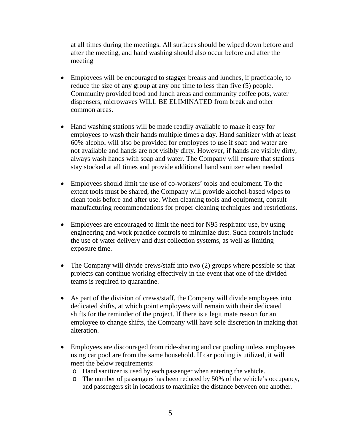at all times during the meetings. All surfaces should be wiped down before and after the meeting, and hand washing should also occur before and after the meeting

- Employees will be encouraged to stagger breaks and lunches, if practicable, to reduce the size of any group at any one time to less than five (5) people. Community provided food and lunch areas and community coffee pots, water dispensers, microwaves WILL BE ELIMINATED from break and other common areas.
- Hand washing stations will be made readily available to make it easy for employees to wash their hands multiple times a day. Hand sanitizer with at least 60% alcohol will also be provided for employees to use if soap and water are not available and hands are not visibly dirty. However, if hands are visibly dirty, always wash hands with soap and water. The Company will ensure that stations stay stocked at all times and provide additional hand sanitizer when needed
- Employees should limit the use of co-workers' tools and equipment. To the extent tools must be shared, the Company will provide alcohol-based wipes to clean tools before and after use. When cleaning tools and equipment, consult manufacturing recommendations for proper cleaning techniques and restrictions.
- Employees are encouraged to limit the need for N95 respirator use, by using engineering and work practice controls to minimize dust. Such controls include the use of water delivery and dust collection systems, as well as limiting exposure time.
- The Company will divide crews/staff into two (2) groups where possible so that projects can continue working effectively in the event that one of the divided teams is required to quarantine.
- As part of the division of crews/staff, the Company will divide employees into dedicated shifts, at which point employees will remain with their dedicated shifts for the reminder of the project. If there is a legitimate reason for an employee to change shifts, the Company will have sole discretion in making that alteration.
- Employees are discouraged from ride-sharing and car pooling unless employees using car pool are from the same household. If car pooling is utilized, it will meet the below requirements:
	- o Hand sanitizer is used by each passenger when entering the vehicle.
	- o The number of passengers has been reduced by 50% of the vehicle's occupancy, and passengers sit in locations to maximize the distance between one another.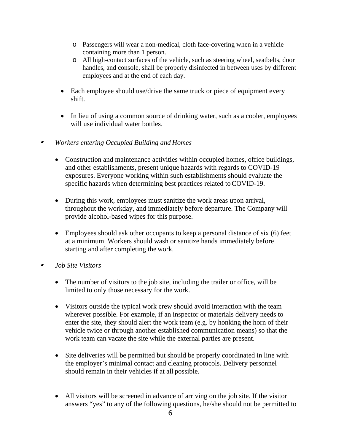- o Passengers will wear a non-medical, cloth face-covering when in a vehicle containing more than 1 person.
- o All high-contact surfaces of the vehicle, such as steering wheel, seatbelts, door handles, and console, shall be properly disinfected in between uses by different employees and at the end of each day.
- Each employee should use/drive the same truck or piece of equipment every shift.
- In lieu of using a common source of drinking water, such as a cooler, employees will use individual water bottles.
- ı *Workers entering Occupied Building and Homes*
	- Construction and maintenance activities within occupied homes, office buildings, and other establishments, present unique hazards with regards to COVID-19 exposures. Everyone working within such establishments should evaluate the specific hazards when determining best practices related to COVID-19.
	- During this work, employees must sanitize the work areas upon arrival, throughout the workday, and immediately before departure. The Company will provide alcohol-based wipes for this purpose.
	- Employees should ask other occupants to keep a personal distance of six (6) feet at a minimum. Workers should wash or sanitize hands immediately before starting and after completing the work.
- ı *Job Site Visitors*
	- The number of visitors to the job site, including the trailer or office, will be limited to only those necessary for the work.
	- Visitors outside the typical work crew should avoid interaction with the team wherever possible. For example, if an inspector or materials delivery needs to enter the site, they should alert the work team (e.g. by honking the horn of their vehicle twice or through another established communication means) so that the work team can vacate the site while the external parties are present.
	- Site deliveries will be permitted but should be properly coordinated in line with the employer's minimal contact and cleaning protocols. Delivery personnel should remain in their vehicles if at all possible.
	- All visitors will be screened in advance of arriving on the job site. If the visitor answers "yes" to any of the following questions, he/she should not be permitted to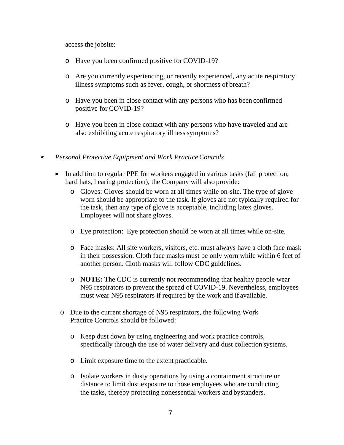access the jobsite:

- o Have you been confirmed positive for COVID-19?
- o Are you currently experiencing, or recently experienced, any acute respiratory illness symptoms such as fever, cough, or shortness of breath?
- o Have you been in close contact with any persons who has been confirmed positive for COVID-19?
- o Have you been in close contact with any persons who have traveled and are also exhibiting acute respiratory illness symptoms?
- ø *Personal Protective Equipment and Work Practice Controls*
	- In addition to regular PPE for workers engaged in various tasks (fall protection, hard hats, hearing protection), the Company will also provide:
		- o Gloves: Gloves should be worn at all times while on-site. The type of glove worn should be appropriate to the task. If gloves are not typically required for the task, then any type of glove is acceptable, including latex gloves. Employees will not share gloves.
		- o Eye protection: Eye protection should be worn at all times while on-site.
		- o Face masks: All site workers, visitors, etc. must always have a cloth face mask in their possession. Cloth face masks must be only worn while within 6 feet of another person. Cloth masks will follow CDC guidelines.
		- o **NOTE:** The CDC is currently not recommending that healthy people wear N95 respirators to prevent the spread of COVID-19. Nevertheless, employees must wear N95 respirators if required by the work and if available.
		- o Due to the current shortage of N95 respirators, the following Work Practice Controls should be followed:
			- o Keep dust down by using engineering and work practice controls, specifically through the use of water delivery and dust collection systems.
			- o Limit exposure time to the extent practicable.
			- o Isolate workers in dusty operations by using a containment structure or distance to limit dust exposure to those employees who are conducting the tasks, thereby protecting nonessential workers and bystanders.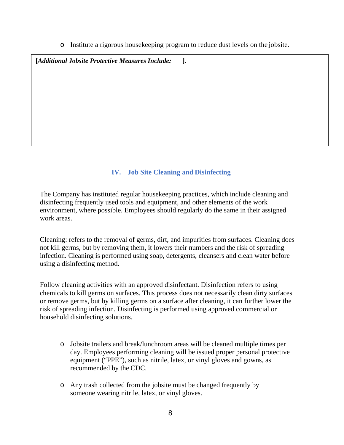o Institute a rigorous housekeeping program to reduce dust levels on the jobsite.

**[***Additional Jobsite Protective Measures Include:* **].**

# **IV. Job Site Cleaning and Disinfecting**

The Company has instituted regular housekeeping practices, which include cleaning and disinfecting frequently used tools and equipment, and other elements of the work environment, where possible. Employees should regularly do the same in their assigned work areas.

Cleaning: refers to the removal of germs, dirt, and impurities from surfaces. Cleaning does not kill germs, but by removing them, it lowers their numbers and the risk of spreading infection. Cleaning is performed using soap, detergents, cleansers and clean water before using a disinfecting method.

Follow cleaning activities with an approved disinfectant. Disinfection refers to using chemicals to kill germs on surfaces. This process does not necessarily clean dirty surfaces or remove germs, but by killing germs on a surface after cleaning, it can further lower the risk of spreading infection. Disinfecting is performed using approved commercial or household disinfecting solutions.

- o Jobsite trailers and break/lunchroom areas will be cleaned multiple times per day. Employees performing cleaning will be issued proper personal protective equipment ("PPE"), such as nitrile, latex, or vinyl gloves and gowns, as recommended by the CDC.
- o Any trash collected from the jobsite must be changed frequently by someone wearing nitrile, latex, or vinyl gloves.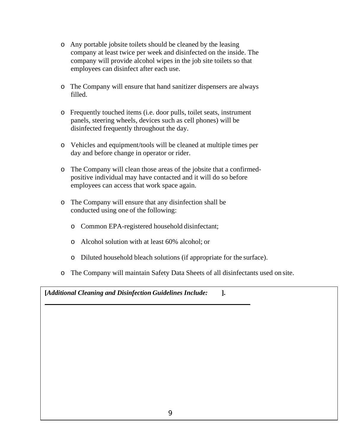- o Any portable jobsite toilets should be cleaned by the leasing company at least twice per week and disinfected on the inside. The company will provide alcohol wipes in the job site toilets so that employees can disinfect after each use.
- o The Company will ensure that hand sanitizer dispensers are always filled.
- o Frequently touched items (i.e. door pulls, toilet seats, instrument panels, steering wheels, devices such as cell phones) will be disinfected frequently throughout the day.
- o Vehicles and equipment/tools will be cleaned at multiple times per day and before change in operator or rider.
- o The Company will clean those areas of the jobsite that a confirmedpositive individual may have contacted and it will do so before employees can access that work space again.
- o The Company will ensure that any disinfection shall be conducted using one of the following:
	- o Common EPA-registered household disinfectant;
	- o Alcohol solution with at least 60% alcohol; or
	- o Diluted household bleach solutions (if appropriate for the surface).
- o The Company will maintain Safety Data Sheets of all disinfectants used on site.

**[***Additional Cleaning and Disinfection Guidelines Include:* **].**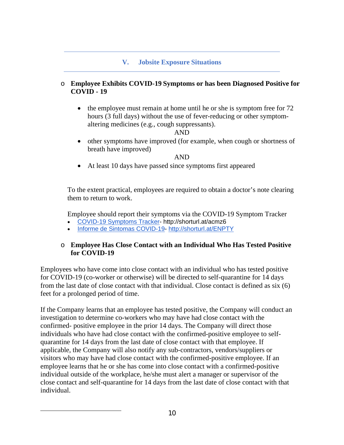## **V. Jobsite Exposure Situations**

#### o **Employee Exhibits COVID-19 Symptoms or has been Diagnosed Positive for COVID - 19**

• the employee must remain at home until he or she is symptom free for 72 hours (3 full days) without the use of fever-reducing or other symptomaltering medicines (e.g., cough suppressants).

AND

• other symptoms have improved (for example, when cough or shortness of breath have improved)

AND

• At least 10 days have passed since symptoms first appeared

To the extent practical, employees are required to obtain a doctor's note clearing them to return to work.

Employee should report their symptoms via the COVID-19 Symptom Tracker

- [COVID-19 Symptoms Tracker-](https://docs.google.com/forms/d/e/1FAIpQLSfhgvfl5vGVqmTbL2DaW7IRq5mWBlCms7pjAUJZ6ipF_bM0cQ/viewform?usp=sf_link) http://shorturl.at/acmz6
- [Informe de Sintomas COVID-19-](https://forms.gle/6XgWV8eA8z8VueBe6) <http://shorturl.at/ENPTY>

#### o **Employee Has Close Contact with an Individual Who Has Tested Positive for COVID-19**

Employees who have come into close contact with an individual who has tested positive for COVID-19 (co-worker or otherwise) will be directed to self-quarantine for 14 days from the last date of close contact with that individual. Close contact is defined as six (6) feet for a prolonged period of time.

If the Company learns that an employee has tested positive, the Company will conduct an investigation to determine co-workers who may have had close contact with the confirmed- positive employee in the prior 14 days. The Company will direct those individuals who have had close contact with the confirmed-positive employee to selfquarantine for 14 days from the last date of close contact with that employee. If applicable, the Company will also notify any sub-contractors, vendors/suppliers or visitors who may have had close contact with the confirmed-positive employee. If an employee learns that he or she has come into close contact with a confirmed-positive individual outside of the workplace, he/she must alert a manager or supervisor of the close contact and self-quarantine for 14 days from the last date of close contact with that individual.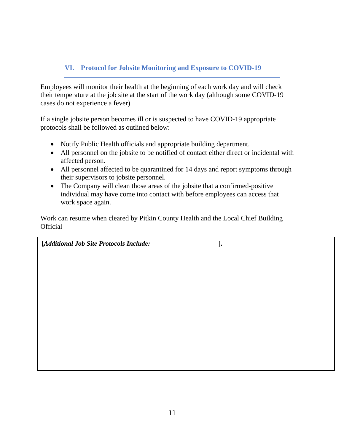# **VI. Protocol for Jobsite Monitoring and Exposure to COVID-19**

Employees will monitor their health at the beginning of each work day and will check their temperature at the job site at the start of the work day (although some COVID-19 cases do not experience a fever)

If a single jobsite person becomes ill or is suspected to have COVID-19 appropriate protocols shall be followed as outlined below:

- Notify Public Health officials and appropriate building department.
- All personnel on the jobsite to be notified of contact either direct or incidental with affected person.
- All personnel affected to be quarantined for 14 days and report symptoms through their supervisors to jobsite personnel.
- The Company will clean those areas of the jobsite that a confirmed-positive individual may have come into contact with before employees can access that work space again.

Work can resume when cleared by Pitkin County Health and the Local Chief Building **Official** 

**[***Additional Job Site Protocols Include:* **].**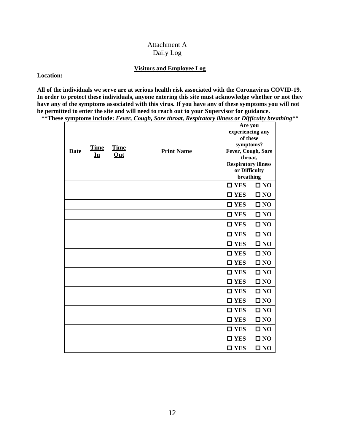#### Attachment A Daily Log

#### **Visitors and Employee Log**

**Location: \_\_\_\_\_\_\_\_\_\_\_\_\_\_\_\_\_\_\_\_\_\_\_\_\_\_\_\_\_\_\_\_\_\_\_\_\_\_\_\_\_**

**All of the individuals we serve are at serious health risk associated with the Coronavirus COVID-19. In order to protect these individuals, anyone entering this site must acknowledge whether or not they**  have any of the symptoms associated with this virus. If you have any of these symptoms you will not **be permitted to enter the site and will need to reach out to your Supervisor for guidance.**

**\*\*These symptoms include:** *Fever, Cough, Sore throat, Respiratory illness or Difficulty breathing\*\**

|             |             |             | Are you           |                            |              |
|-------------|-------------|-------------|-------------------|----------------------------|--------------|
|             |             |             | <b>Print Name</b> | experiencing any           |              |
|             |             | Time<br>Out |                   | of these                   |              |
|             | <b>Time</b> |             |                   | symptoms?                  |              |
| <b>Date</b> | In          |             |                   | Fever, Cough, Sore         |              |
|             |             |             |                   | throat,                    |              |
|             |             |             |                   | <b>Respiratory illness</b> |              |
|             |             |             |                   | or Difficulty<br>breathing |              |
|             |             |             |                   |                            |              |
|             |             |             |                   | $\square$ YES              | $\square$ NO |
|             |             |             |                   | $\square$ YES              | $\square$ NO |
|             |             |             |                   | $\square$ YES              | $\square$ NO |
|             |             |             |                   | $\square$ YES              | $\square$ NO |
|             |             |             |                   | $\square$ YES              | $\square$ NO |
|             |             |             |                   | $\square$ YES              | $\square$ NO |
|             |             |             |                   | $\square$ YES              | $\square$ NO |
|             |             |             |                   | $\square$ YES              | $\square$ NO |
|             |             |             |                   | $\square$ YES              | $\square$ NO |
|             |             |             |                   | $\square$ YES              | $\square$ NO |
|             |             |             |                   | $\square$ YES              | $\square$ NO |
|             |             |             |                   | $\square$ YES              | $\square$ NO |
|             |             |             |                   | $\square$ YES              | $\square$ NO |
|             |             |             |                   | $\square$ YES              | $\square$ NO |
|             |             |             |                   | $\square$ YES              | $\square$ NO |
|             |             |             |                   | $\square$ YES              | $\square$ NO |
|             |             |             |                   | $\square$ YES              | $\square$ NO |
|             |             |             |                   | $\square$ YES              | $\square$ NO |